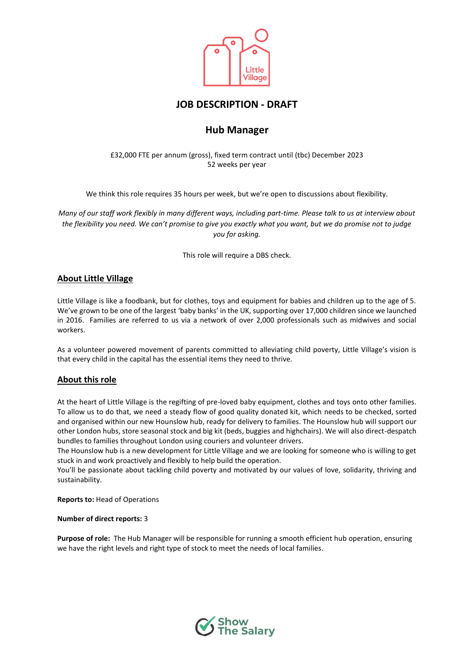

# **JOB DESCRIPTION - DRAFT**

# **Hub Manager**

£32,000 FTE per annum (gross), fixed term contract until (tbc) December 2023 52 weeks per year

We think this role requires 35 hours per week, but we're open to discussions about flexibility.

*Many of our staff work flexibly in many different ways, including part-time. Please talk to us at interview about the flexibility you need. We can't promise to give you exactly what you want, but we do promise not to judge you for asking.* 

This role will require a DBS check.

# **About Little Village**

Little Village is like a foodbank, but for clothes, toys and equipment for babies and children up to the age of 5. We've grown to be one of the largest 'baby banks' in the UK, supporting over 17,000 children since we launched in 2016. Families are referred to us via a network of over 2,000 professionals such as midwives and social workers.

As a volunteer powered movement of parents committed to alleviating child poverty, Little Village's vision is that every child in the capital has the essential items they need to thrive.

# **About this role**

At the heart of Little Village is the regifting of pre-loved baby equipment, clothes and toys onto other families. To allow us to do that, we need a steady flow of good quality donated kit, which needs to be checked, sorted and organised within our new Hounslow hub, ready for delivery to families. The Hounslow hub will support our other London hubs, store seasonal stock and big kit (beds, buggies and highchairs). We will also direct-despatch bundles to families throughout London using couriers and volunteer drivers.

The Hounslow hub is a new development for Little Village and we are looking for someone who is willing to get stuck in and work proactively and flexibly to help build the operation.

You'll be passionate about tackling child poverty and motivated by our values of love, solidarity, thriving and sustainability.

**Reports to:** Head of Operations

## **Number of direct reports:** 3

**Purpose of role:** The Hub Manager will be responsible for running a smooth efficient hub operation, ensuring we have the right levels and right type of stock to meet the needs of local families.

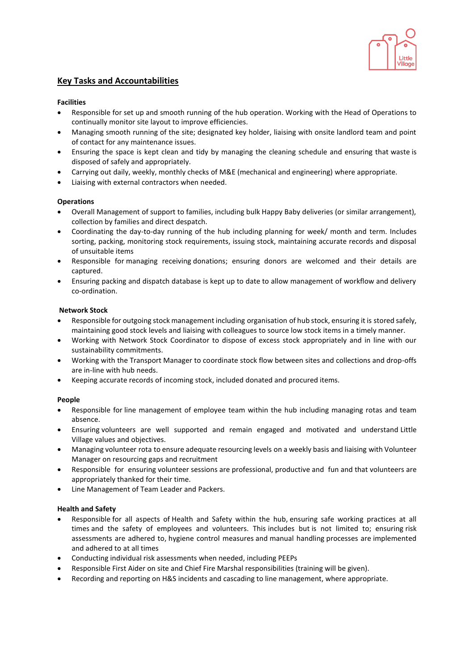

# **Key Tasks and Accountabilities**

#### **Facilities**

- Responsible for set up and smooth running of the hub operation. Working with the Head of Operations to continually monitor site layout to improve efficiencies.
- Managing smooth running of the site; designated key holder, liaising with onsite landlord team and point of contact for any maintenance issues.
- Ensuring the space is kept clean and tidy by managing the cleaning schedule and ensuring that waste is disposed of safely and appropriately.
- Carrying out daily, weekly, monthly checks of M&E (mechanical and engineering) where appropriate.
- Liaising with external contractors when needed.

## **Operations**

- Overall Management of support to families, including bulk Happy Baby deliveries (or similar arrangement), collection by families and direct despatch.
- Coordinating the day-to-day running of the hub including planning for week/ month and term. Includes sorting, packing, monitoring stock requirements, issuing stock, maintaining accurate records and disposal of unsuitable items
- Responsible for managing receiving donations; ensuring donors are welcomed and their details are captured.
- Ensuring packing and dispatch database is kept up to date to allow management of workflow and delivery co-ordination.

## **Network Stock**

- Responsible for outgoing stock management including organisation of hub stock, ensuring it is stored safely, maintaining good stock levels and liaising with colleagues to source low stock items in a timely manner.
- Working with Network Stock Coordinator to dispose of excess stock appropriately and in line with our sustainability commitments.
- Working with the Transport Manager to coordinate stock flow between sites and collections and drop-offs are in-line with hub needs.
- Keeping accurate records of incoming stock, included donated and procured items.

## **People**

- Responsible for line management of employee team within the hub including managing rotas and team absence.
- Ensuring volunteers are well supported and remain engaged and motivated and understand Little Village values and objectives.
- Managing volunteer rota to ensure adequate resourcing levels on a weekly basis and liaising with Volunteer Manager on resourcing gaps and recruitment
- Responsible for ensuring volunteer sessions are professional, productive and fun and that volunteers are appropriately thanked for their time.
- Line Management of Team Leader and Packers.

## **Health and Safety**

- Responsible for all aspects of Health and Safety within the hub, ensuring safe working practices at all times and the safety of employees and volunteers. This includes but is not limited to; ensuring risk assessments are adhered to, hygiene control measures and manual handling processes are implemented and adhered to at all times
- Conducting individual risk assessments when needed, including PEEPs
- Responsible First Aider on site and Chief Fire Marshal responsibilities (training will be given).
- Recording and reporting on H&S incidents and cascading to line management, where appropriate.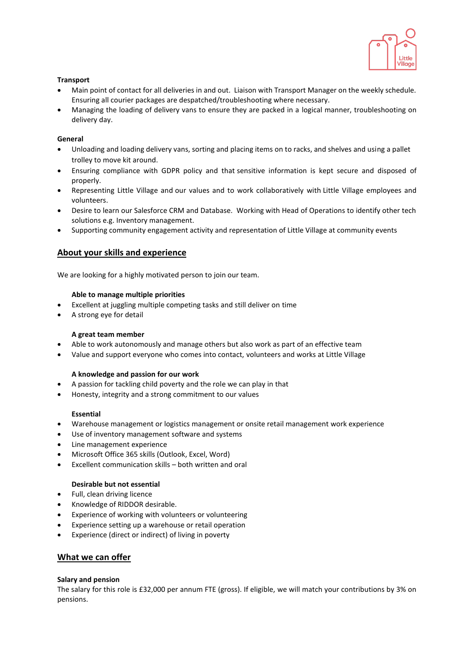

## **Transport**

- Main point of contact for all deliveries in and out. Liaison with Transport Manager on the weekly schedule. Ensuring all courier packages are despatched/troubleshooting where necessary.
- Managing the loading of delivery vans to ensure they are packed in a logical manner, troubleshooting on delivery day.

# **General**

- Unloading and loading delivery vans, sorting and placing items on to racks, and shelves and using a pallet trolley to move kit around.
- Ensuring compliance with GDPR policy and that sensitive information is kept secure and disposed of properly.
- Representing Little Village and our values and to work collaboratively with Little Village employees and volunteers.
- Desire to learn our Salesforce CRM and Database. Working with Head of Operations to identify other tech solutions e.g. Inventory management.
- Supporting community engagement activity and representation of Little Village at community events

# **About your skills and experience**

We are looking for a highly motivated person to join our team.

#### **Able to manage multiple priorities**

- Excellent at juggling multiple competing tasks and still deliver on time
- A strong eye for detail

#### **A great team member**

- Able to work autonomously and manage others but also work as part of an effective team
- Value and support everyone who comes into contact, volunteers and works at Little Village

## **A knowledge and passion for our work**

- A passion for tackling child poverty and the role we can play in that
- Honesty, integrity and a strong commitment to our values

## **Essential**

- Warehouse management or logistics management or onsite retail management work experience
- Use of inventory management software and systems
- Line management experience
- Microsoft Office 365 skills (Outlook, Excel, Word)
- Excellent communication skills both written and oral

# **Desirable but not essential**

- Full, clean driving licence
- Knowledge of RIDDOR desirable.
- Experience of working with volunteers or volunteering
- Experience setting up a warehouse or retail operation
- Experience (direct or indirect) of living in poverty

## **What we can offer**

#### **Salary and pension**

The salary for this role is £32,000 per annum FTE (gross). If eligible, we will match your contributions by 3% on pensions.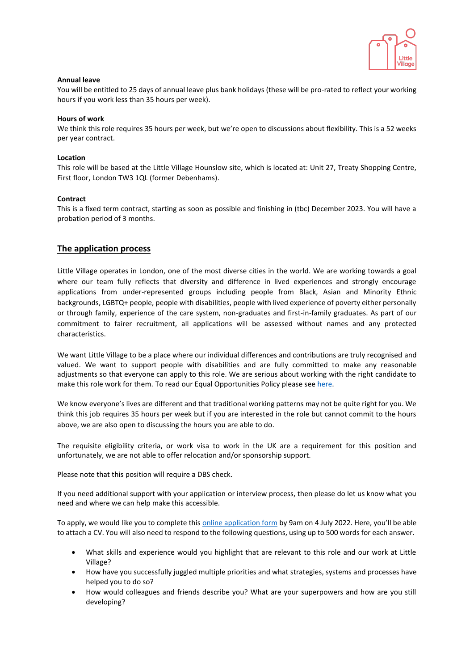

#### **Annual leave**

You will be entitled to 25 days of annual leave plus bank holidays (these will be pro-rated to reflect your working hours if you work less than 35 hours per week).

#### **Hours of work**

We think this role requires 35 hours per week, but we're open to discussions about flexibility. This is a 52 weeks per year contract.

#### **Location**

This role will be based at the Little Village Hounslow site, which is located at: Unit 27, Treaty Shopping Centre, First floor, London TW3 1QL (former Debenhams).

#### **Contract**

This is a fixed term contract, starting as soon as possible and finishing in (tbc) December 2023. You will have a probation period of 3 months.

# **The application process**

Little Village operates in London, one of the most diverse cities in the world. We are working towards a goal where our team fully reflects that diversity and difference in lived experiences and strongly encourage applications from under-represented groups including people from Black, Asian and Minority Ethnic backgrounds, LGBTQ+ people, people with disabilities, people with lived experience of poverty either personally or through family, experience of the care system, non-graduates and first-in-family graduates. As part of our commitment to fairer recruitment, all applications will be assessed without names and any protected characteristics.

We want Little Village to be a place where our individual differences and contributions are truly recognised and valued. We want to support people with disabilities and are fully committed to make any reasonable adjustments so that everyone can apply to this role. We are serious about working with the right candidate to make this role work for them. To read our Equal Opportunities Policy please se[e here.](https://wp.littlevillagehq.org/wp-content/uploads/2021/06/Little_Village.Equal_Opportunities.March_2021.FINAL-Copy.pdf)

We know everyone's lives are different and that traditional working patterns may not be quite right for you. We think this job requires 35 hours per week but if you are interested in the role but cannot commit to the hours above, we are also open to discussing the hours you are able to do.

The requisite eligibility criteria, or work visa to work in the UK are a requirement for this position and unfortunately, we are not able to offer relocation and/or sponsorship support.

Please note that this position will require a DBS check.

If you need additional support with your application or interview process, then please do let us know what you need and where we can help make this accessible.

To apply, we would like you to complete this [online application form](https://littlevillage.typeform.com/to/IdbUSA44) by 9am on 4 July 2022. Here, you'll be able to attach a CV. You will also need to respond to the following questions, using up to 500 words for each answer.

- What skills and experience would you highlight that are relevant to this role and our work at Little Village?
- How have you successfully juggled multiple priorities and what strategies, systems and processes have helped you to do so?
- How would colleagues and friends describe you? What are your superpowers and how are you still developing?